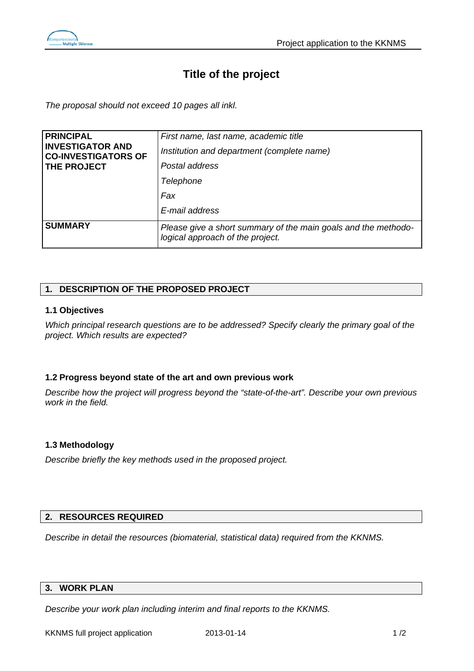

# **Title of the project**

*The proposal should not exceed 10 pages all inkl.* 

| <b>FRINCIPAL</b>                                                            | First name, last name, academic title                                                              |
|-----------------------------------------------------------------------------|----------------------------------------------------------------------------------------------------|
| <b>INVESTIGATOR AND</b><br><b>CO-INVESTIGATORS OF</b><br><b>THE PROJECT</b> | Institution and department (complete name)                                                         |
|                                                                             | Postal address                                                                                     |
|                                                                             | Telephone                                                                                          |
|                                                                             | Fax                                                                                                |
|                                                                             | E-mail address                                                                                     |
| <b>SUMMARY</b>                                                              | Please give a short summary of the main goals and the methodo-<br>logical approach of the project. |

# **1. DESCRIPTION OF THE PROPOSED PROJECT**

## **1.1 Objectives**

*Which principal research questions are to be addressed? Specify clearly the primary goal of the project. Which results are expected?*

## **1.2 Progress beyond state of the art and own previous work**

*Describe how the project will progress beyond the "state-of-the-art". Describe your own previous work in the field.* 

## **1.3 Methodology**

*Describe briefly the key methods used in the proposed project.* 

## **2. RESOURCES REQUIRED**

*Describe in detail the resources (biomaterial, statistical data) required from the KKNMS.* 

#### **3. WORK PLAN**

*Describe your work plan including interim and final reports to the KKNMS.*